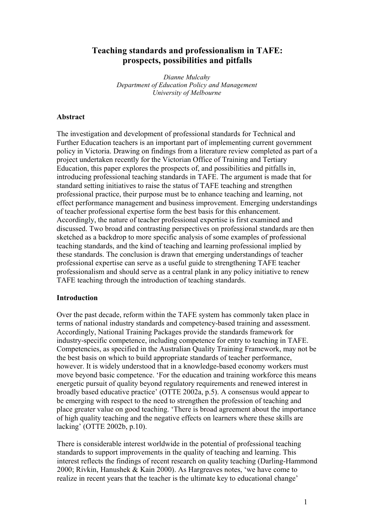# **Teaching standards and professionalism in TAFE: prospects, possibilities and pitfalls**

*Dianne Mulcahy Department of Education Policy and Management University of Melbourne*

#### **Abstract**

The investigation and development of professional standards for Technical and Further Education teachers is an important part of implementing current government policy in Victoria. Drawing on findings from a literature review completed as part of a project undertaken recently for the Victorian Office of Training and Tertiary Education, this paper explores the prospects of, and possibilities and pitfalls in, introducing professional teaching standards in TAFE. The argument is made that for standard setting initiatives to raise the status of TAFE teaching and strengthen professional practice, their purpose must be to enhance teaching and learning, not effect performance management and business improvement. Emerging understandings of teacher professional expertise form the best basis for this enhancement. Accordingly, the nature of teacher professional expertise is first examined and discussed. Two broad and contrasting perspectives on professional standards are then sketched as a backdrop to more specific analysis of some examples of professional teaching standards, and the kind of teaching and learning professional implied by these standards. The conclusion is drawn that emerging understandings of teacher professional expertise can serve as a useful guide to strengthening TAFE teacher professionalism and should serve as a central plank in any policy initiative to renew TAFE teaching through the introduction of teaching standards.

#### **Introduction**

Over the past decade, reform within the TAFE system has commonly taken place in terms of national industry standards and competency-based training and assessment. Accordingly, National Training Packages provide the standards framework for industry-specific competence, including competence for entry to teaching in TAFE. Competencies, as specified in the Australian Quality Training Framework, may not be the best basis on which to build appropriate standards of teacher performance, however. It is widely understood that in a knowledge-based economy workers must move beyond basic competence. 'For the education and training workforce this means energetic pursuit of quality beyond regulatory requirements and renewed interest in broadly based educative practice' (OTTE 2002a, p.5). A consensus would appear to be emerging with respect to the need to strengthen the profession of teaching and place greater value on good teaching. 'There is broad agreement about the importance of high quality teaching and the negative effects on learners where these skills are lacking' (OTTE 2002b, p.10).

There is considerable interest worldwide in the potential of professional teaching standards to support improvements in the quality of teaching and learning. This interest reflects the findings of recent research on quality teaching (Darling-Hammond 2000; Rivkin, Hanushek & Kain 2000). As Hargreaves notes, 'we have come to realize in recent years that the teacher is the ultimate key to educational change'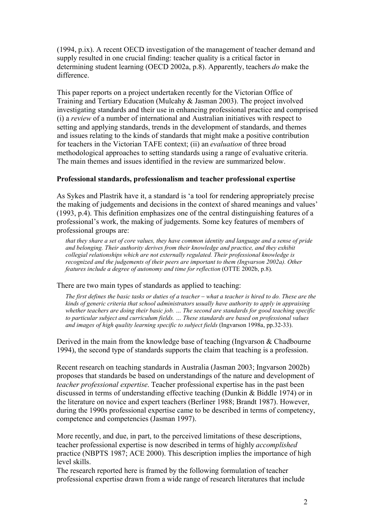(1994, p.ix). A recent OECD investigation of the management of teacher demand and supply resulted in one crucial finding: teacher quality is a critical factor in determining student learning (OECD 2002a, p.8). Apparently, teachers *do* make the difference.

This paper reports on a project undertaken recently for the Victorian Office of Training and Tertiary Education (Mulcahy & Jasman 2003). The project involved investigating standards and their use in enhancing professional practice and comprised (i) a *review* of a number of international and Australian initiatives with respect to setting and applying standards, trends in the development of standards, and themes and issues relating to the kinds of standards that might make a positive contribution for teachers in the Victorian TAFE context; (ii) an *evaluation* of three broad methodological approaches to setting standards using a range of evaluative criteria. The main themes and issues identified in the review are summarized below.

### **Professional standards, professionalism and teacher professional expertise**

As Sykes and Plastrik have it, a standard is 'a tool for rendering appropriately precise the making of judgements and decisions in the context of shared meanings and values' (1993, p.4). This definition emphasizes one of the central distinguishing features of a professional's work, the making of judgements. Some key features of members of professional groups are:

*that they share a set of core values, they have common identity and language and a sense of pride and belonging. Their authority derives from their knowledge and practice, and they exhibit collegial relationships which are not externally regulated. Their professional knowledge is recognized and the judgements of their peers are important to them (Ingvarson 2002a). Other features include a degree of autonomy and time for reflection* (OTTE 2002b, p.8).

There are two main types of standards as applied to teaching:

The first defines the basic tasks or duties of a teacher – what a teacher is hired to do. These are the *kinds of generic criteria that school administrators usually have authority to apply in appraising whether teachers are doing their basic job. … The second are standards for good teaching specific to particular subject and curriculum fields. … These standards are based on professional values and images of high quality learning specific to subject fields* (Ingvarson 1998a, pp.32-33).

Derived in the main from the knowledge base of teaching (Ingvarson & Chadbourne 1994), the second type of standards supports the claim that teaching is a profession.

Recent research on teaching standards in Australia (Jasman 2003; Ingvarson 2002b) proposes that standards be based on understandings of the nature and development of *teacher professional expertise*. Teacher professional expertise has in the past been discussed in terms of understanding effective teaching (Dunkin & Biddle 1974) or in the literature on novice and expert teachers (Berliner 1988; Brandt 1987). However, during the 1990s professional expertise came to be described in terms of competency, competence and competencies (Jasman 1997).

More recently, and due, in part, to the perceived limitations of these descriptions, teacher professional expertise is now described in terms of highly *accomplished* practice (NBPTS 1987; ACE 2000). This description implies the importance of high level skills.

The research reported here is framed by the following formulation of teacher professional expertise drawn from a wide range of research literatures that include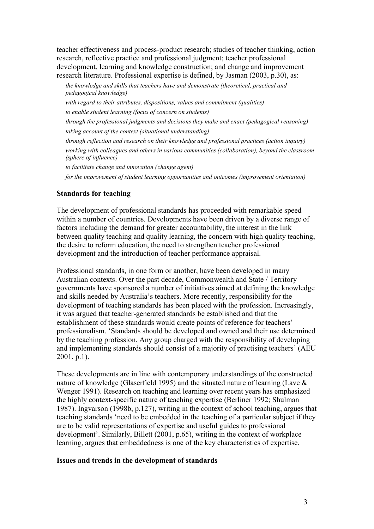teacher effectiveness and process-product research; studies of teacher thinking, action research, reflective practice and professional judgment; teacher professional development, learning and knowledge construction; and change and improvement research literature. Professional expertise is defined, by Jasman (2003, p.30), as:

*the knowledge and skills that teachers have and demonstrate (theoretical, practical and pedagogical knowledge) with regard to their attributes, dispositions, values and commitment (qualities) to enable student learning (focus of concern on students) through the professional judgments and decisions they make and enact (pedagogical reasoning) taking account of the context (situational understanding) through reflection and research on their knowledge and professional practices (action inquiry) working with colleagues and others in various communities (collaboration), beyond the classroom (sphere of influence) to facilitate change and innovation (change agent)*

*for the improvement of student learning opportunities and outcomes (improvement orientation)*

#### **Standards for teaching**

The development of professional standards has proceeded with remarkable speed within a number of countries. Developments have been driven by a diverse range of factors including the demand for greater accountability, the interest in the link between quality teaching and quality learning, the concern with high quality teaching, the desire to reform education, the need to strengthen teacher professional development and the introduction of teacher performance appraisal.

Professional standards, in one form or another, have been developed in many Australian contexts. Over the past decade, Commonwealth and State / Territory governments have sponsored a number of initiatives aimed at defining the knowledge and skills needed by Australia's teachers. More recently, responsibility for the development of teaching standards has been placed with the profession. Increasingly, it was argued that teacher-generated standards be established and that the establishment of these standards would create points of reference for teachers' professionalism. 'Standards should be developed and owned and their use determined by the teaching profession. Any group charged with the responsibility of developing and implementing standards should consist of a majority of practising teachers' (AEU 2001, p.1).

These developments are in line with contemporary understandings of the constructed nature of knowledge (Glaserfield 1995) and the situated nature of learning (Lave & Wenger 1991). Research on teaching and learning over recent years has emphasized the highly context-specific nature of teaching expertise (Berliner 1992; Shulman 1987). Ingvarson (1998b, p.127), writing in the context of school teaching, argues that teaching standards 'need to be embedded in the teaching of a particular subject if they are to be valid representations of expertise and useful guides to professional development'. Similarly, Billett (2001, p.65), writing in the context of workplace learning, argues that embeddedness is one of the key characteristics of expertise.

#### **Issues and trends in the development of standards**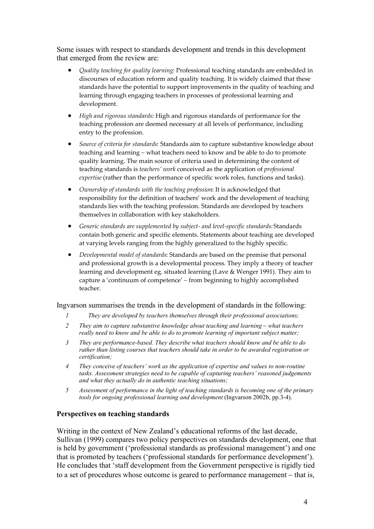Some issues with respect to standards development and trends in this development that emerged from the review are:

- *Quality teaching for quality learning*: Professional teaching standards are embedded in discourses of education reform and quality teaching. It is widely claimed that these standards have the potential to support improvements in the quality of teaching and learning through engaging teachers in processes of professional learning and development.
- *High and rigorous standards*: High and rigorous standards of performance for the teaching profession are deemed necessary at all levels of performance, including entry to the profession.
- *Source of criteria for standards*: Standards aim to capture substantive knowledge about teaching and learning – what teachers need to know and be able to do to promote quality learning. The main source of criteria used in determining the content of teaching standards is *teachers' work* conceived as the application of *professional expertise* (rather than the performance of specific work roles, functions and tasks).
- *Ownership of standards with the teaching profession*: It is acknowledged that responsibility for the definition of teachers' work and the development of teaching standards lies with the teaching profession. Standards are developed by teachers themselves in collaboration with key stakeholders.
- *Generic standards are supplemented by subject- and level-specific standards:* Standards contain both generic and specific elements. Statements about teaching are developed at varying levels ranging from the highly generalized to the highly specific.
- *Developmental model of standards*: Standards are based on the premise that personal and professional growth is a developmental process. They imply a theory of teacher learning and development eg. situated learning (Lave & Wenger 1991). They aim to capture a 'continuum of competence' - from beginning to highly accomplished teacher.

### Ingvarson summarises the trends in the development of standards in the following:

- *1 They are developed by teachers themselves through their professional associations;*
- *2 They aim to capture substantive knowledge about teaching and learning what teachers really need to know and be able to do to promote learning of important subject matter;*
- *3 They are performance-based. They describe what teachers should know and be able to do rather than listing courses that teachers should take in order to be awarded registration or certification;*
- *4 They conceive of teachers' work as the application of expertise and values to non-routine tasks. Assessment strategies need to be capable of capturing teachers' reasoned judgements and what they actually do in authentic teaching situations;*
- *5 Assessment of performance in the light of teaching standards is becoming one of the primary tools for ongoing professional learning and development* (Ingvarson 2002b, pp.3-4).

# **Perspectives on teaching standards**

Writing in the context of New Zealand's educational reforms of the last decade, Sullivan (1999) compares two policy perspectives on standards development, one that is held by government ('professional standards as professional management') and one that is promoted by teachers ('professional standards for performance development'). He concludes that 'staff development from the Government perspective is rigidly tied to a set of procedures whose outcome is geared to performance management  $-$  that is,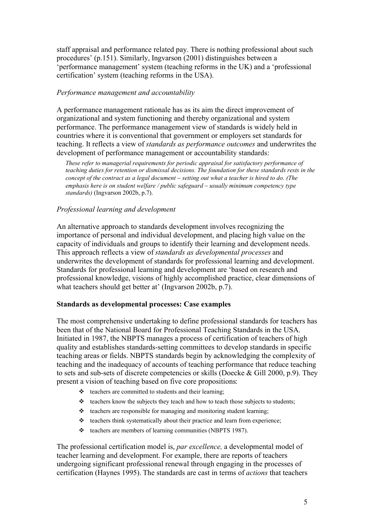staff appraisal and performance related pay. There is nothing professional about such procedures' (p.151). Similarly, Ingvarson (2001) distinguishes between a 'performance management' system (teaching reforms in the UK) and a 'professional certification' system (teaching reforms in the USA).

### *Performance management and accountability*

A performance management rationale has as its aim the direct improvement of organizational and system functioning and thereby organizational and system performance. The performance management view of standards is widely held in countries where it is conventional that government or employers set standards for teaching. It reflects a view of *standards as performance outcomes* and underwrites the development of performance management or accountability standards:

*These refer to managerial requirements for periodic appraisal for satisfactory performance of teaching duties for retention or dismissal decisions. The foundation for these standards rests in the concept of the contract as a legal document setting out what a teacher is hired to do. (The emphasis here is on student welfare / public safeguard – usually minimum competency type standards)* (Ingvarson 2002b, p.7).

# *Professional learning and development*

An alternative approach to standards development involves recognizing the importance of personal and individual development, and placing high value on the capacity of individuals and groups to identify their learning and development needs. This approach reflects a view of *standards as developmental processes* and underwrites the development of standards for professional learning and development. Standards for professional learning and development are 'based on research and professional knowledge, visions of highly accomplished practice, clear dimensions of what teachers should get better at' (Ingvarson 2002b, p.7).

### **Standards as developmental processes: Case examples**

The most comprehensive undertaking to define professional standards for teachers has been that of the National Board for Professional Teaching Standards in the USA. Initiated in 1987, the NBPTS manages a process of certification of teachers of high quality and establishes standards-setting committees to develop standards in specific teaching areas or fields. NBPTS standards begin by acknowledging the complexity of teaching and the inadequacy of accounts of teaching performance that reduce teaching to sets and sub-sets of discrete competencies or skills (Doecke & Gill 2000, p.9). They present a vision of teaching based on five core propositions:

- $\triangleleft$  teachers are committed to students and their learning;
- \* teachers know the subjects they teach and how to teach those subjects to students;
- $\triangleleft$  teachers are responsible for managing and monitoring student learning;
- $\triangleleft$  teachers think systematically about their practice and learn from experience;
- $\triangle$  teachers are members of learning communities (NBPTS 1987).

The professional certification model is, *par excellence,* a developmental model of teacher learning and development. For example, there are reports of teachers undergoing significant professional renewal through engaging in the processes of certification (Haynes 1995). The standards are cast in terms of *actions* that teachers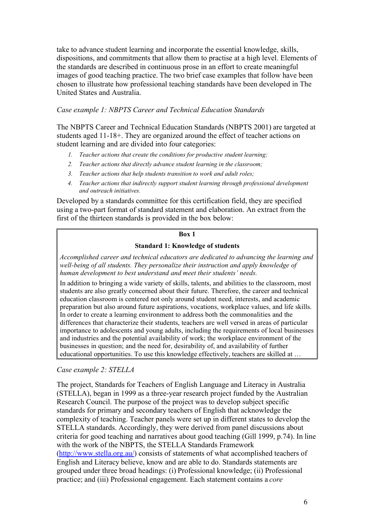take to advance student learning and incorporate the essential knowledge, skills, dispositions, and commitments that allow them to practise at a high level. Elements of the standards are described in continuous prose in an effort to create meaningful images of good teaching practice. The two brief case examples that follow have been chosen to illustrate how professional teaching standards have been developed in The United States and Australia.

### *Case example 1: NBPTS Career and Technical Education Standards*

The NBPTS Career and Technical Education Standards (NBPTS 2001) are targeted at students aged 11-18+. They are organized around the effect of teacher actions on student learning and are divided into four categories:

- *1. Teacher actions that create the conditions for productive student learning;*
- *2. Teacher actions that directly advance student learning in the classroom;*
- *3. Teacher actions that help students transition to work and adult roles;*
- *4. Teacher actions that indirectly support student learning through professional development and outreach initiatives.*

Developed by a standards committee for this certification field, they are specified using a two-part format of standard statement and elaboration. An extract from the first of the thirteen standards is provided in the box below:

#### **Box 1**

### **Standard 1: Knowledge of students**

*Accomplished career and technical educators are dedicated to advancing the learning and well-being of all students. They personalize their instruction and apply knowledge of human development to best understand and meet their students' needs.*

In addition to bringing a wide variety of skills, talents, and abilities to the classroom, most students are also greatly concerned about their future. Therefore, the career and technical education classroom is centered not only around student need, interests, and academic preparation but also around future aspirations, vocations, workplace values, and life skills. In order to create a learning environment to address both the commonalities and the differences that characterize their students, teachers are well versed in areas of particular importance to adolescents and young adults, including the requirements of local businesses and industries and the potential availability of work; the workplace environment of the businesses in question; and the need for, desirability of, and availability of further educational opportunities. To use this knowledge effectively, teachers are skilled at …

### *Case example 2: STELLA*

The project, Standards for Teachers of English Language and Literacy in Australia (STELLA), began in 1999 as a three-year research project funded by the Australian Research Council. The purpose of the project was to develop subject specific standards for primary and secondary teachers of English that acknowledge the complexity of teaching. Teacher panels were set up in different states to develop the STELLA standards. Accordingly, they were derived from panel discussions about criteria for good teaching and narratives about good teaching (Gill 1999, p.74). In line with the work of the NBPTS, the STELLA Standards Framework (http://www.stella.org.au/) consists of statements of what accomplished teachers of English and Literacy believe, know and are able to do. Standards statements are grouped under three broad headings: (i) Professional knowledge; (ii) Professional practice; and (iii) Professional engagement. Each statement contains a *core*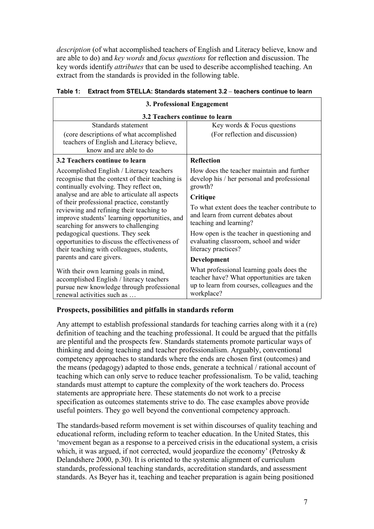*description* (of what accomplished teachers of English and Literacy believe, know and are able to do) and *key words* and *focus questions* for reflection and discussion. The key words identify *attributes* that can be used to describe accomplished teaching. An extract from the standards is provided in the following table.

| 3. Professional Engagement                                                                                                                                                                                                                                                                                                                                                                                                                                                                                   |                                                                                                                                                                                                                                                                                                                                                   |
|--------------------------------------------------------------------------------------------------------------------------------------------------------------------------------------------------------------------------------------------------------------------------------------------------------------------------------------------------------------------------------------------------------------------------------------------------------------------------------------------------------------|---------------------------------------------------------------------------------------------------------------------------------------------------------------------------------------------------------------------------------------------------------------------------------------------------------------------------------------------------|
| 3.2 Teachers continue to learn                                                                                                                                                                                                                                                                                                                                                                                                                                                                               |                                                                                                                                                                                                                                                                                                                                                   |
| Standards statement                                                                                                                                                                                                                                                                                                                                                                                                                                                                                          | Key words & Focus questions                                                                                                                                                                                                                                                                                                                       |
| (core descriptions of what accomplished<br>teachers of English and Literacy believe,<br>know and are able to do                                                                                                                                                                                                                                                                                                                                                                                              | (For reflection and discussion)                                                                                                                                                                                                                                                                                                                   |
| 3.2 Teachers continue to learn                                                                                                                                                                                                                                                                                                                                                                                                                                                                               | <b>Reflection</b>                                                                                                                                                                                                                                                                                                                                 |
| Accomplished English / Literacy teachers<br>recognise that the context of their teaching is<br>continually evolving. They reflect on,<br>analyse and are able to articulate all aspects<br>of their professional practice, constantly<br>reviewing and refining their teaching to<br>improve students' learning opportunities, and<br>searching for answers to challenging<br>pedagogical questions. They seek<br>opportunities to discuss the effectiveness of<br>their teaching with colleagues, students, | How does the teacher maintain and further<br>develop his / her personal and professional<br>growth?<br>Critique<br>To what extent does the teacher contribute to<br>and learn from current debates about<br>teaching and learning?<br>How open is the teacher in questioning and<br>evaluating classroom, school and wider<br>literacy practices? |
| parents and care givers.                                                                                                                                                                                                                                                                                                                                                                                                                                                                                     | <b>Development</b>                                                                                                                                                                                                                                                                                                                                |
| With their own learning goals in mind,<br>accomplished English / literacy teachers<br>pursue new knowledge through professional<br>renewal activities such as                                                                                                                                                                                                                                                                                                                                                | What professional learning goals does the<br>teacher have? What opportunities are taken<br>up to learn from courses, colleagues and the<br>workplace?                                                                                                                                                                                             |

### **Table 1: Extract from STELLA: Standards statement 3.2 teachers continue to learn**

### **Prospects, possibilities and pitfalls in standards reform**

Any attempt to establish professional standards for teaching carries along with it a (re) definition of teaching and the teaching professional. It could be argued that the pitfalls are plentiful and the prospects few. Standards statements promote particular ways of thinking and doing teaching and teacher professionalism. Arguably, conventional competency approaches to standards where the ends are chosen first (outcomes) and the means (pedagogy) adapted to those ends, generate a technical / rational account of teaching which can only serve to reduce teacher professionalism. To be valid, teaching standards must attempt to capture the complexity of the work teachers do. Process statements are appropriate here. These statements do not work to a precise specification as outcomes statements strive to do. The case examples above provide useful pointers. They go well beyond the conventional competency approach.

The standards-based reform movement is set within discourses of quality teaching and educational reform, including reform to teacher education. In the United States, this 'movement began as a response to a perceived crisis in the educational system, a crisis which, it was argued, if not corrected, would jeopardize the economy' (Petrosky & Delandshere 2000, p.30). It is oriented to the systemic alignment of curriculum standards, professional teaching standards, accreditation standards, and assessment standards. As Beyer has it, teaching and teacher preparation is again being positioned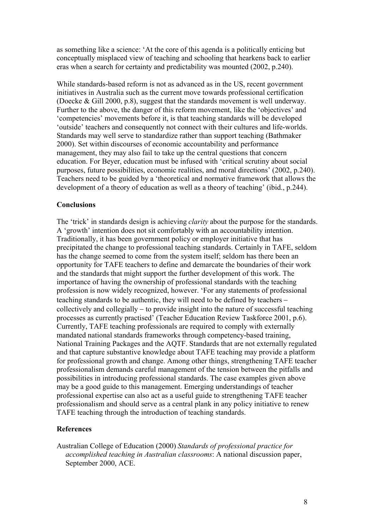as something like a science: 'At the core of this agenda is a politically enticing but conceptually misplaced view of teaching and schooling that hearkens back to earlier eras when a search for certainty and predictability was mounted (2002, p.240).

While standards-based reform is not as advanced as in the US, recent government initiatives in Australia such as the current move towards professional certification (Doecke & Gill 2000, p.8), suggest that the standards movement is well underway. Further to the above, the danger of this reform movement, like the 'objectives' and 'competencies' movements before it, is that teaching standards will be developed 'outside' teachers and consequently not connect with their cultures and life-worlds. Standards may well serve to standardize rather than support teaching (Bathmaker 2000). Set within discourses of economic accountability and performance management, they may also fail to take up the central questions that concern education. For Beyer, education must be infused with 'critical scrutiny about social purposes, future possibilities, economic realities, and moral directions' (2002, p.240). Teachers need to be guided by a 'theoretical and normative framework that allows the development of a theory of education as well as a theory of teaching' (ibid., p.244).

### **Conclusions**

The 'trick' in standards design is achieving *clarity* about the purpose for the standards. A 'growth' intention does not sit comfortably with an accountability intention. Traditionally, it has been government policy or employer initiative that has precipitated the change to professional teaching standards. Certainly in TAFE, seldom has the change seemed to come from the system itself; seldom has there been an opportunity for TAFE teachers to define and demarcate the boundaries of their work and the standards that might support the further development of this work. The importance of having the ownership of professional standards with the teaching profession is now widely recognized, however. 'For any statements of professional teaching standards to be authentic, they will need to be defined by teachers collectively and collegially  $-$  to provide insight into the nature of successful teaching processes as currently practised' (Teacher Education Review Taskforce 2001, p.6). Currently, TAFE teaching professionals are required to comply with externally mandated national standards frameworks through competency-based training, National Training Packages and the AQTF. Standards that are not externally regulated and that capture substantive knowledge about TAFE teaching may provide a platform for professional growth and change. Among other things, strengthening TAFE teacher professionalism demands careful management of the tension between the pitfalls and possibilities in introducing professional standards. The case examples given above may be a good guide to this management. Emerging understandings of teacher professional expertise can also act as a useful guide to strengthening TAFE teacher professionalism and should serve as a central plank in any policy initiative to renew TAFE teaching through the introduction of teaching standards.

### **References**

Australian College of Education (2000) *Standards of professional practice for accomplished teaching in Australian classrooms*: A national discussion paper, September 2000, ACE.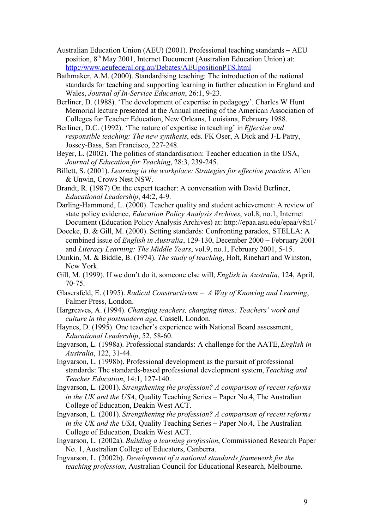- Australian Education Union (AEU) (2001). Professional teaching standards  $-$  AEU position, 8<sup>th</sup> May 2001, Internet Document (Australian Education Union) at: http://www.aeufederal.org.au/Debates/AEUpositionPTS.html
- Bathmaker, A.M. (2000). Standardising teaching: The introduction of the national standards for teaching and supporting learning in further education in England and Wales, *Journal of In-Service Education*, 26:1, 9-23.
- Berliner, D. (1988). 'The development of expertise in pedagogy'. Charles W Hunt Memorial lecture presented at the Annual meeting of the American Association of Colleges for Teacher Education, New Orleans, Louisiana, February 1988.
- Berliner, D.C. (1992). 'The nature of expertise in teaching' in *Effective and responsible teaching: The new synthesis*, eds. FK Oser, A Dick and J-L Patry, Jossey-Bass, San Francisco, 227-248.
- Beyer, L. (2002). The politics of standardisation: Teacher education in the USA, *Journal of Education for Teaching*, 28:3, 239-245.
- Billett, S. (2001). *Learning in the workplace: Strategies for effective practice*, Allen & Unwin, Crows Nest NSW.
- Brandt, R. (1987) On the expert teacher: A conversation with David Berliner, *Educational Leadership*, 44:2, 4-9.
- Darling-Hammond, L. (2000). Teacher quality and student achievement: A review of state policy evidence, *Education Policy Analysis Archives*, vol.8, no.1, Internet Document (Education Policy Analysis Archives) at: http://epaa.asu.edu/epaa/v8n1/
- Doecke, B. & Gill, M. (2000). Setting standards: Confronting paradox, STELLA: A combined issue of *English in Australia*, 129-130, December 2000 – February 2001 and *Literacy Learning: The Middle Years*, vol.9, no.1, February 2001, 5-15.
- Dunkin, M. & Biddle, B. (1974). *The study of teaching*, Holt, Rinehart and Winston, New York.
- Gill, M. (1999). If we don't do it, someone else will, *English in Australia*, 124, April, 70-75.
- Glasersfeld, E. (1995). *Radical Constructivism A Way of Knowing and Learning*, Falmer Press, London.
- Hargreaves, A. (1994). *Changing teachers, changing times: Teachers' work and culture in the postmodern age*, Cassell, London.
- Haynes, D. (1995). One teacher's experience with National Board assessment, *Educational Leadership*, 52, 58-60.
- Ingvarson, L. (1998a). Professional standards: A challenge for the AATE, *English in Australia*, 122, 31-44.
- Ingvarson, L. (1998b). Professional development as the pursuit of professional standards: The standards-based professional development system, *Teaching and Teacher Education*, 14:1, 127-140.
- Ingvarson, L. (2001). *Strengthening the profession? A comparison of recent reforms in the UK and the USA*, Quality Teaching Series – Paper No.4, The Australian College of Education, Deakin West ACT.
- Ingvarson, L. (2001). *Strengthening the profession? A comparison of recent reforms in the UK and the USA*, Quality Teaching Series – Paper No.4, The Australian College of Education, Deakin West ACT.
- Ingvarson, L. (2002a). *Building a learning profession*, Commissioned Research Paper No. 1, Australian College of Educators, Canberra.
- Ingvarson, L. (2002b). *Development of a national standards framework for the teaching profession*, Australian Council for Educational Research, Melbourne.